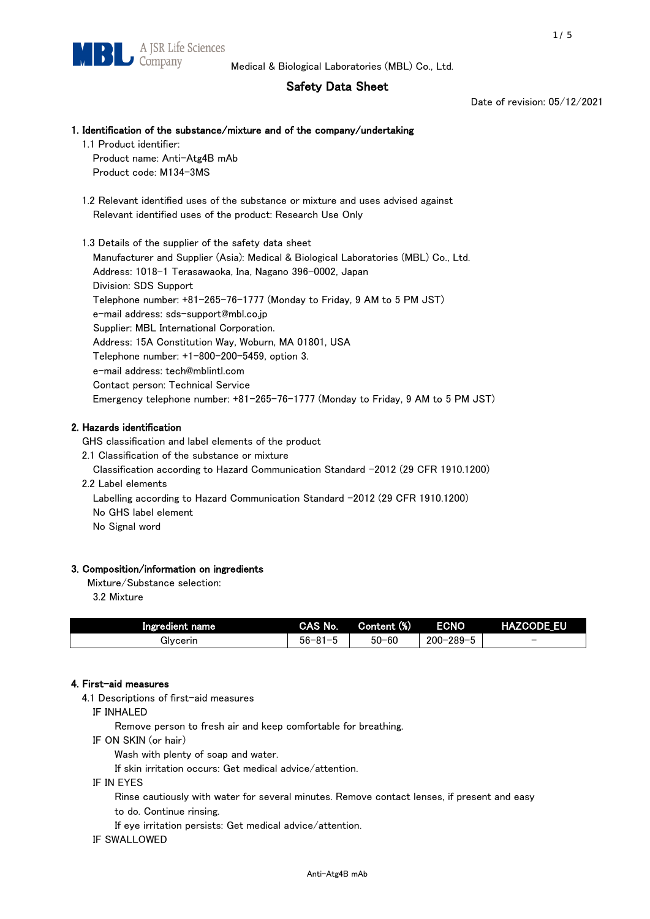# Safety Data Sheet

Date of revision: 05/12/2021

## 1. Identification of the substance/mixture and of the company/undertaking

1.1 Product identifier: Product name: Anti-Atg4B mAb

Product code: M134-3MS

- 1.2 Relevant identified uses of the substance or mixture and uses advised against Relevant identified uses of the product: Research Use Only
- 1.3 Details of the supplier of the safety data sheet Manufacturer and Supplier (Asia): Medical & Biological Laboratories (MBL) Co., Ltd. Address: 1018-1 Terasawaoka, Ina, Nagano 396-0002, Japan Division: SDS Support Telephone number: +81-265-76-1777 (Monday to Friday, 9 AM to 5 PM JST) e-mail address: sds-support@mbl.co.jp Supplier: MBL International Corporation. Address: 15A Constitution Way, Woburn, MA 01801, USA Telephone number: +1-800-200-5459, option 3. e-mail address: tech@mblintl.com Contact person: Technical Service Emergency telephone number: +81-265-76-1777 (Monday to Friday, 9 AM to 5 PM JST)

# 2. Hazards identification

GHS classification and label elements of the product

- 2.1 Classification of the substance or mixture
- Classification according to Hazard Communication Standard -2012 (29 CFR 1910.1200)
- 2.2 Label elements

Labelling according to Hazard Communication Standard -2012 (29 CFR 1910.1200) No GHS label element

No Signal word

# 3. Composition/information on ingredients

Mixture/Substance selection:

3.2 Mixture

| Ingredient name | CAS No.          | Content (%) | <b>ECNO</b>                                         | <b>HAZCODE EU</b>        |
|-----------------|------------------|-------------|-----------------------------------------------------|--------------------------|
| Givcerin        | $56 - 81 -$<br>. | $50 - 60$   | $-289 - 5$<br>$\overline{\phantom{0}}$<br>$200 - 2$ | $\overline{\phantom{0}}$ |

## 4. First-aid measures

4.1 Descriptions of first-aid measures

IF INHALED

Remove person to fresh air and keep comfortable for breathing.

IF ON SKIN (or hair)

Wash with plenty of soap and water.

If skin irritation occurs: Get medical advice/attention.

IF IN EYES

Rinse cautiously with water for several minutes. Remove contact lenses, if present and easy

to do. Continue rinsing.

If eye irritation persists: Get medical advice/attention.

IF SWALLOWED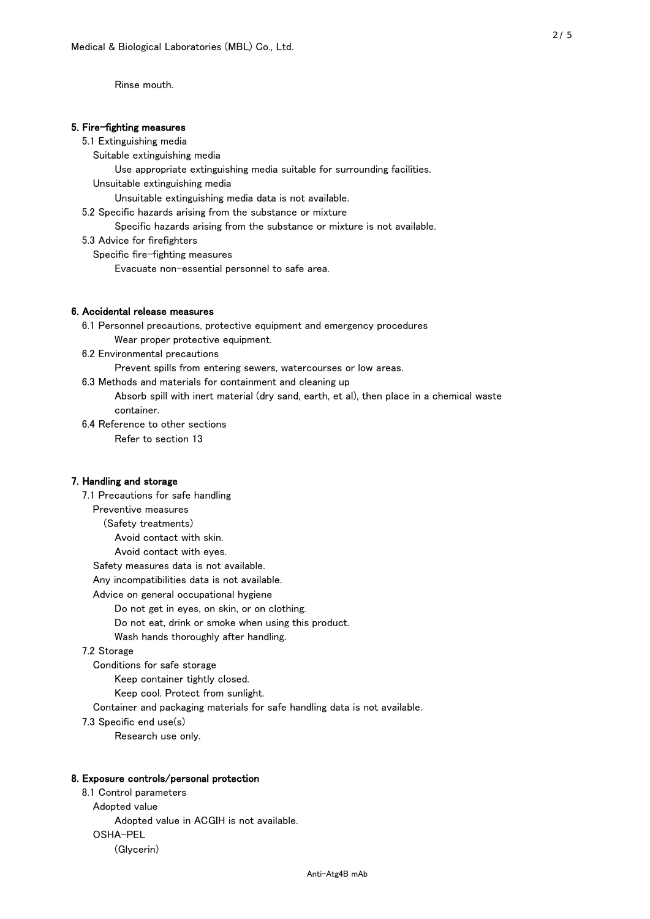Rinse mouth.

#### 5. Fire-fighting measures

#### 5.1 Extinguishing media

Suitable extinguishing media

Use appropriate extinguishing media suitable for surrounding facilities.

Unsuitable extinguishing media

Unsuitable extinguishing media data is not available.

5.2 Specific hazards arising from the substance or mixture

Specific hazards arising from the substance or mixture is not available.

5.3 Advice for firefighters

Specific fire-fighting measures

Evacuate non-essential personnel to safe area.

## 6. Accidental release measures

 6.1 Personnel precautions, protective equipment and emergency procedures Wear proper protective equipment.

6.2 Environmental precautions

Prevent spills from entering sewers, watercourses or low areas.

6.3 Methods and materials for containment and cleaning up

 Absorb spill with inert material (dry sand, earth, et al), then place in a chemical waste container.

6.4 Reference to other sections

Refer to section 13

## 7. Handling and storage

 7.1 Precautions for safe handling Preventive measures (Safety treatments) Avoid contact with skin. Avoid contact with eyes. Safety measures data is not available. Any incompatibilities data is not available. Advice on general occupational hygiene Do not get in eyes, on skin, or on clothing. Do not eat, drink or smoke when using this product. Wash hands thoroughly after handling. 7.2 Storage Conditions for safe storage Keep container tightly closed.

Keep cool. Protect from sunlight.

Container and packaging materials for safe handling data is not available.

7.3 Specific end use(s)

Research use only.

#### 8. Exposure controls/personal protection

 8.1 Control parameters Adopted value Adopted value in ACGIH is not available. OSHA-PEL (Glycerin)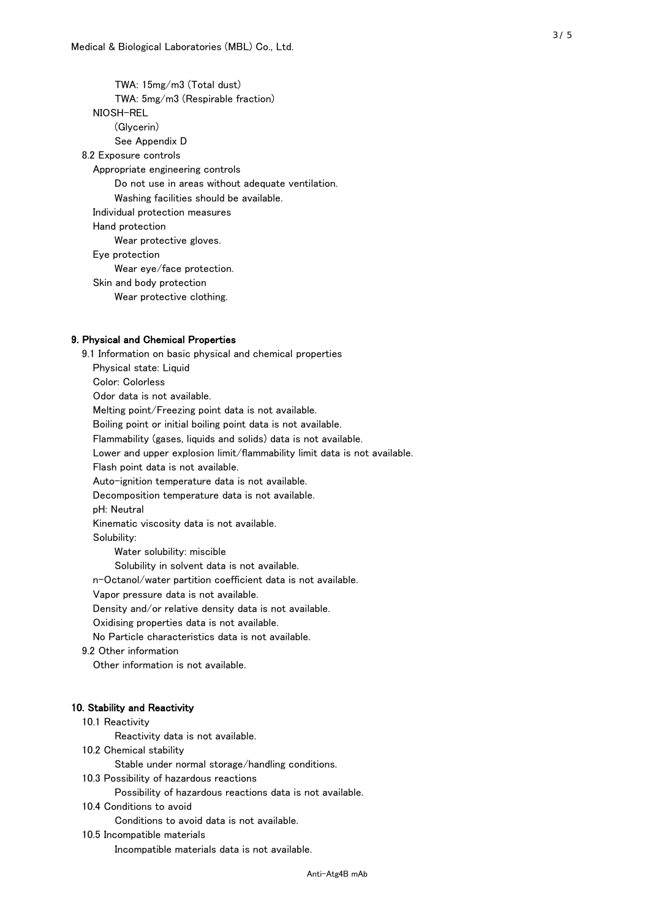TWA: 15mg/m3 (Total dust) TWA: 5mg/m3 (Respirable fraction) NIOSH-REL (Glycerin) See Appendix D 8.2 Exposure controls Appropriate engineering controls Do not use in areas without adequate ventilation. Washing facilities should be available. Individual protection measures Hand protection Wear protective gloves. Eye protection Wear eye/face protection. Skin and body protection Wear protective clothing.

#### 9. Physical and Chemical Properties

 9.1 Information on basic physical and chemical properties Physical state: Liquid Color: Colorless Odor data is not available. Melting point/Freezing point data is not available. Boiling point or initial boiling point data is not available. Flammability (gases, liquids and solids) data is not available. Lower and upper explosion limit/flammability limit data is not available. Flash point data is not available. Auto-ignition temperature data is not available. Decomposition temperature data is not available. pH: Neutral Kinematic viscosity data is not available. Solubility: Water solubility: miscible Solubility in solvent data is not available. n-Octanol/water partition coefficient data is not available. Vapor pressure data is not available. Density and/or relative density data is not available. Oxidising properties data is not available. No Particle characteristics data is not available. 9.2 Other information Other information is not available. 10. Stability and Reactivity 10.1 Reactivity Reactivity data is not available. 10.2 Chemical stability Stable under normal storage/handling conditions. 10.3 Possibility of hazardous reactions

Possibility of hazardous reactions data is not available.

#### 10.4 Conditions to avoid

Conditions to avoid data is not available.

#### 10.5 Incompatible materials

Incompatible materials data is not available.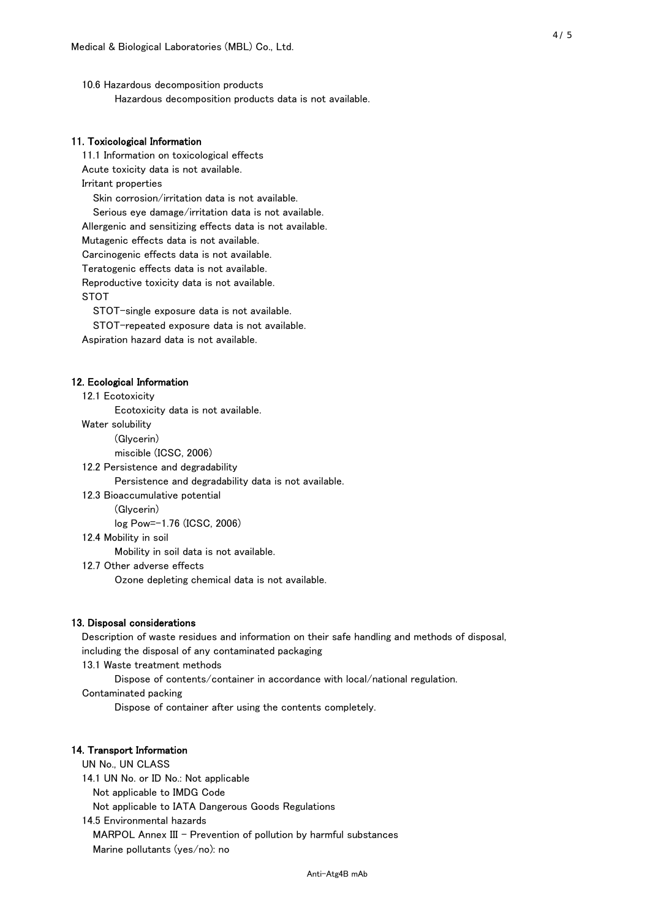10.6 Hazardous decomposition products Hazardous decomposition products data is not available.

## 11. Toxicological Information

 11.1 Information on toxicological effects Acute toxicity data is not available. Irritant properties Skin corrosion/irritation data is not available. Serious eye damage/irritation data is not available. Allergenic and sensitizing effects data is not available. Mutagenic effects data is not available. Carcinogenic effects data is not available. Teratogenic effects data is not available. Reproductive toxicity data is not available. STOT

STOT-single exposure data is not available.

STOT-repeated exposure data is not available.

Aspiration hazard data is not available.

#### 12. Ecological Information

12.1 Ecotoxicity

Ecotoxicity data is not available.

Water solubility

(Glycerin)

miscible (ICSC, 2006)

12.2 Persistence and degradability

Persistence and degradability data is not available.

12.3 Bioaccumulative potential

(Glycerin)

log Pow=-1.76 (ICSC, 2006)

12.4 Mobility in soil

Mobility in soil data is not available.

12.7 Other adverse effects

Ozone depleting chemical data is not available.

#### 13. Disposal considerations

 Description of waste residues and information on their safe handling and methods of disposal, including the disposal of any contaminated packaging

13.1 Waste treatment methods

Dispose of contents/container in accordance with local/national regulation.

Contaminated packing

Dispose of container after using the contents completely.

#### 14. Transport Information

 UN No., UN CLASS 14.1 UN No. or ID No.: Not applicable Not applicable to IMDG Code Not applicable to IATA Dangerous Goods Regulations

 14.5 Environmental hazards MARPOL Annex III - Prevention of pollution by harmful substances Marine pollutants (yes/no): no